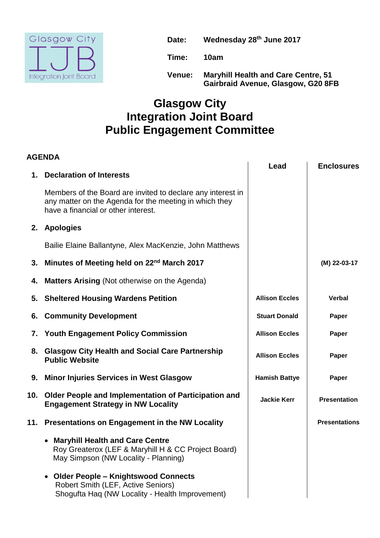

**Date: Wednesday 28th June 2017**

**Time: 10am**

**Venue: Maryhill Health and Care Centre, 51 Gairbraid Avenue, Glasgow, G20 8FB**

## **Glasgow City Integration Joint Board Public Engagement Committee**

## **AGENDA Lead Enclosures 1. Declaration of Interests** Members of the Board are invited to declare any interest in any matter on the Agenda for the meeting in which they have a financial or other interest. **2. Apologies** Bailie Elaine Ballantyne, Alex MacKenzie, John Matthews **3. Minutes of Meeting held on 22nd March 2017 (M) 22-03-17 4. Matters Arising** (Not otherwise on the Agenda) **5.** Sheltered Housing Wardens Petition **Allison Eccles** | Verbal **6. Community Development 19. In the Stuart Donald Paper Paper 7. Youth Engagement Policy Commission Allison Eccles** | **Paper 8. Glasgow City Health and Social Care Partnership Public Website Allison Eccles Paper** 9. Minor Injuries Services in West Glasgow **Repert Constructs In August 2** Hamish Battye **Paper 10. Older People and Implementation of Participation and Engagement Strategy in NW Locality CONSUMERY CONSUMING THE STRATEGY Presentation 11. Presentations on Engagement in the NW Locality Presentations Maryhill Health and Care Centre**  Roy Greaterox (LEF & Maryhill H & CC Project Board) May Simpson (NW Locality - Planning) **Older People – Knightswood Connects**  Robert Smith (LEF, Active Seniors) Shogufta Haq (NW Locality - Health Improvement)